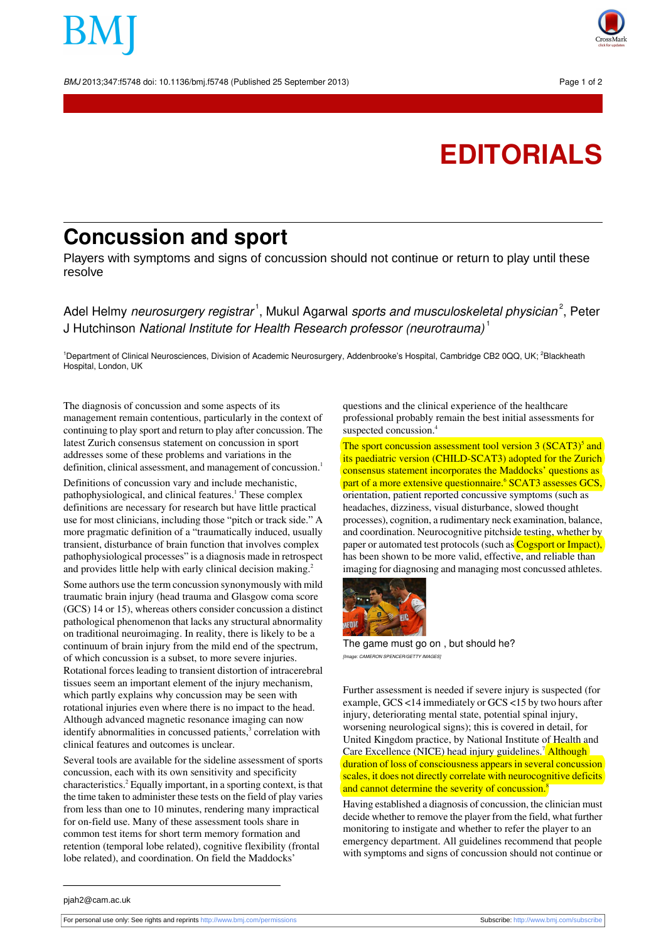BMJ 2013;347:f5748 doi: 10.1136/bmj.f5748 (Published 25 September 2013) Page 1 of 2



## **EDITORIALS**

## **Concussion and sport**

Players with symptoms and signs of concussion should not continue or return to play until these resolve

Adel Helmy *neurosurgery registrar* <sup>1</sup>, Mukul Agarwal *sports and musculoskeletal physician*  $^2$ , Peter J Hutchinson National Institute for Health Research professor (neurotrauma)<sup>1</sup>

<sup>1</sup>Department of Clinical Neurosciences, Division of Academic Neurosurgery, Addenbrooke's Hospital, Cambridge CB2 0QQ, UK; <sup>2</sup>Blackheath Hospital, London, UK

The diagnosis of concussion and some aspects of its management remain contentious, particularly in the context of continuing to play sport and return to play after concussion. The latest Zurich consensus statement on concussion in sport addresses some of these problems and variations in the definition, clinical assessment, and management of concussion.<sup>1</sup>

Definitions of concussion vary and include mechanistic, pathophysiological, and clinical features.<sup>1</sup> These complex definitions are necessary for research but have little practical use for most clinicians, including those "pitch or track side." A more pragmatic definition of a "traumatically induced, usually transient, disturbance of brain function that involves complex pathophysiological processes" is a diagnosis made in retrospect and provides little help with early clinical decision making.<sup>2</sup>

Some authors use the term concussion synonymously with mild traumatic brain injury (head trauma and Glasgow coma score (GCS) 14 or 15), whereas others consider concussion a distinct pathological phenomenon that lacks any structural abnormality on traditional neuroimaging. In reality, there is likely to be a continuum of brain injury from the mild end of the spectrum, of which concussion is a subset, to more severe injuries. Rotational forces leading to transient distortion of intracerebral tissues seem an important element of the injury mechanism, which partly explains why concussion may be seen with rotational injuries even where there is no impact to the head. Although advanced magnetic resonance imaging can now identify abnormalities in concussed patients,<sup>3</sup> correlation with clinical features and outcomes is unclear.

Several tools are available for the sideline assessment of sports concussion, each with its own sensitivity and specificity characteristics.<sup>2</sup> Equally important, in a sporting context, is that the time taken to administer these tests on the field of play varies from less than one to 10 minutes, rendering many impractical for on-field use. Many of these assessment tools share in common test items for short term memory formation and retention (temporal lobe related), cognitive flexibility (frontal lobe related), and coordination. On field the Maddocks'

questions and the clinical experience of the healthcare professional probably remain the best initial assessments for suspected concussion.<sup>4</sup>

The sport concussion assessment tool version 3 (SCAT3)<sup>5</sup> and its paediatric version (CHILD-SCAT3) adopted for the Zurich consensus statement incorporates the Maddocks' questions as part of a more extensive questionnaire.<sup>6</sup> SCAT3 assesses GCS, orientation, patient reported concussive symptoms (such as headaches, dizziness, visual disturbance, slowed thought processes), cognition, a rudimentary neck examination, balance, and coordination. Neurocognitive pitchside testing, whether by paper or automated test protocols (such as Cogsport or Impact), has been shown to be more valid, effective, and reliable than imaging for diagnosing and managing most concussed athletes.



The game must go on , but should he? [Image: CAMERON SPENCER/GETTY IMAGES]

Further assessment is needed if severe injury is suspected (for example, GCS <14 immediately or GCS <15 by two hours after injury, deteriorating mental state, potential spinal injury, worsening neurological signs); this is covered in detail, for United Kingdom practice, by National Institute of Health and Care Excellence (NICE) head injury guidelines.<sup>7</sup> Although duration of loss of consciousness appears in several concussion scales, it does not directly correlate with neurocognitive deficits and cannot determine the severity of concussion.<sup>8</sup>

Having established a diagnosis of concussion, the clinician must decide whether to remove the player from the field, what further monitoring to instigate and whether to refer the player to an emergency department. All guidelines recommend that people with symptoms and signs of concussion should not continue or

pjah2@cam.ac.uk